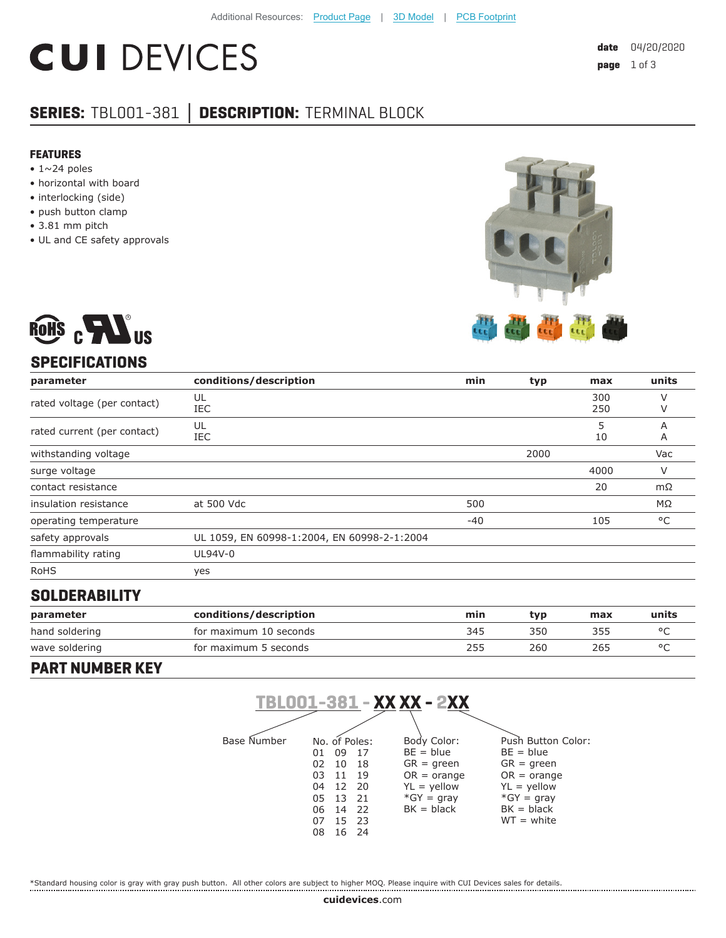# **CUI DEVICES**

# **SERIES:** TBL001-381 **│ DESCRIPTION:** TERMINAL BLOCK

#### **FEATURES**

- $\cdot$  1~24 poles
- horizontal with board
- interlocking (side)
- push button clamp
- 3.81 mm pitch
- UL and CE safety approvals





## **SPECIFICATIONS**

| parameter                   | conditions/description                      | min   | typ  | max        | units        |
|-----------------------------|---------------------------------------------|-------|------|------------|--------------|
| rated voltage (per contact) | UL<br>IEC                                   |       |      | 300<br>250 | $\vee$<br>V  |
| rated current (per contact) | UL<br>IEC                                   |       |      | 5<br>10    | A<br>A       |
| withstanding voltage        |                                             |       | 2000 |            | Vac          |
| surge voltage               |                                             |       |      | 4000       | V            |
| contact resistance          |                                             |       |      | 20         | $m\Omega$    |
| insulation resistance       | at 500 Vdc                                  | 500   |      |            | $M\Omega$    |
| operating temperature       |                                             | $-40$ |      | 105        | $^{\circ}$ C |
| safety approvals            | UL 1059, EN 60998-1:2004, EN 60998-2-1:2004 |       |      |            |              |
| flammability rating         | UL94V-0                                     |       |      |            |              |
| <b>RoHS</b>                 | yes                                         |       |      |            |              |

#### **SOLDERABILITY**

| parameter      | conditions/description | min | tvp | max | units |
|----------------|------------------------|-----|-----|-----|-------|
| hand soldering | for maximum 10 seconds | 345 | 350 | 355 |       |
| wave soldering | for maximum 5 seconds  | 255 | 260 | 265 |       |

#### **PART NUMBER KEY**



\*Standard housing color is gray with gray push button. All other colors are subject to higher MOQ. Please inquire with CUI Devices sales for details.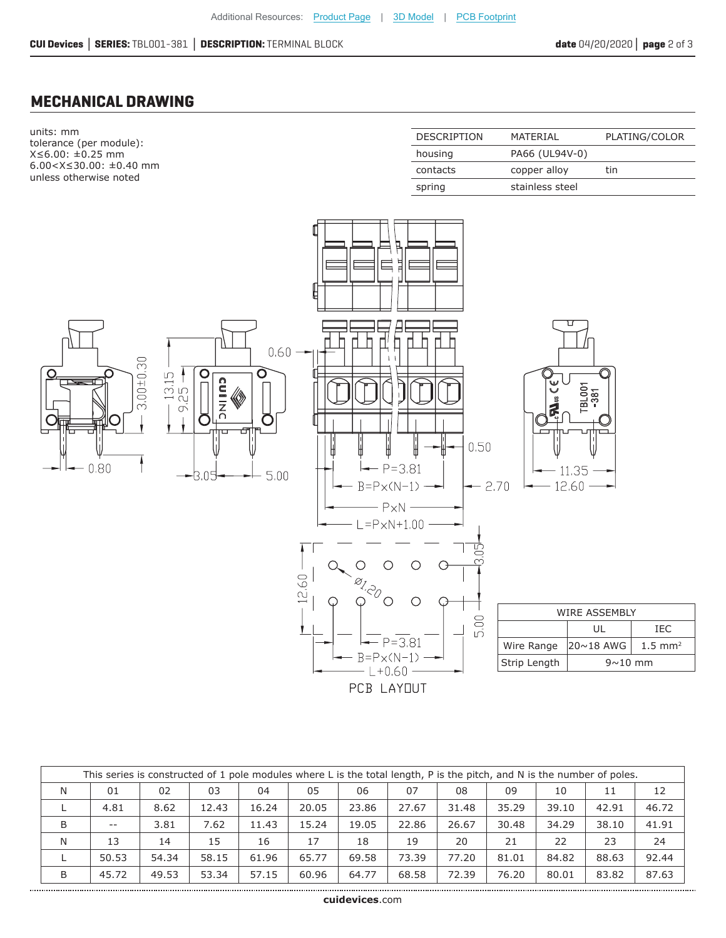### **MECHANICAL DRAWING**

........................

| units: mm<br>tolerance (per module):                       | <b>DESCRIPTION</b> | MATERIAL        | PLATING/COLOR |
|------------------------------------------------------------|--------------------|-----------------|---------------|
| $X \le 6.00$ : $\pm 0.25$ mm                               | housing            | PA66 (UL94V-0)  |               |
| $6.00 < X \leq 30.00$ : ±0.40 mm<br>unless otherwise noted | contacts           | copper alloy    | tin           |
|                                                            | spring             | stainless steel |               |



| This series is constructed of 1 pole modules where L is the total length, P is the pitch, and N is the number of poles. |       |       |       |       |       |       |       |       |       |       |       |       |
|-------------------------------------------------------------------------------------------------------------------------|-------|-------|-------|-------|-------|-------|-------|-------|-------|-------|-------|-------|
| N                                                                                                                       | 01    | 02    | 03    | 04    | 05    | 06    | 07    | 08    | 09    | 10    | 11    | 12    |
|                                                                                                                         | 4.81  | 8.62  | 12.43 | 16.24 | 20.05 | 23.86 | 27.67 | 31.48 | 35.29 | 39.10 | 42.91 | 46.72 |
| B                                                                                                                       | $- -$ | 3.81  | 7.62  | 11.43 | 15.24 | 19.05 | 22.86 | 26.67 | 30.48 | 34.29 | 38.10 | 41.91 |
| N                                                                                                                       | 13    | 14    | 15    | 16    | 17    | 18    | 19    | 20    | 21    | 22    | 23    | 24    |
|                                                                                                                         | 50.53 | 54.34 | 58.15 | 61.96 | 65.77 | 69.58 | 73.39 | 77.20 | 81.01 | 84.82 | 88.63 | 92.44 |
| B                                                                                                                       | 45.72 | 49.53 | 53.34 | 57.15 | 60.96 | 64.77 | 68.58 | 72.39 | 76.20 | 80.01 | 83.82 | 87.63 |